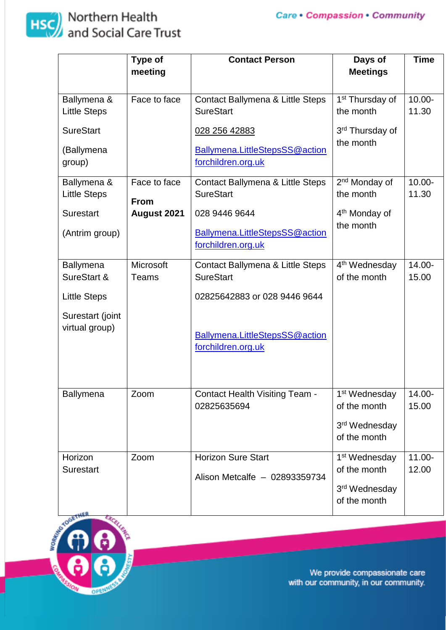

## **HSC** Northern Health<br>and Social Care Trust

|                                                                                       | Type of                                    | <b>Contact Person</b>                                                                                                                        | Days of                                                                                | <b>Time</b>        |
|---------------------------------------------------------------------------------------|--------------------------------------------|----------------------------------------------------------------------------------------------------------------------------------------------|----------------------------------------------------------------------------------------|--------------------|
|                                                                                       | meeting                                    |                                                                                                                                              | <b>Meetings</b>                                                                        |                    |
| Ballymena &<br><b>Little Steps</b>                                                    | Face to face                               | Contact Ballymena & Little Steps<br><b>SureStart</b>                                                                                         | 1 <sup>st</sup> Thursday of<br>the month                                               | $10.00 -$<br>11.30 |
| <b>SureStart</b><br>(Ballymena<br>group)                                              |                                            | 028 256 42883<br><b>Ballymena.LittleStepsSS@action</b><br>forchildren.org.uk                                                                 | 3 <sup>rd</sup> Thursday of<br>the month                                               |                    |
| Ballymena &<br><b>Little Steps</b><br><b>Surestart</b><br>(Antrim group)              | Face to face<br><b>From</b><br>August 2021 | Contact Ballymena & Little Steps<br><b>SureStart</b><br>028 9446 9644<br>Ballymena.LittleStepsSS@action<br>forchildren.org.uk                | 2 <sup>nd</sup> Monday of<br>the month<br>4 <sup>th</sup> Monday of<br>the month       | $10.00 -$<br>11.30 |
| Ballymena<br>SureStart &<br><b>Little Steps</b><br>Surestart (joint<br>virtual group) | Microsoft<br><b>Teams</b>                  | Contact Ballymena & Little Steps<br><b>SureStart</b><br>02825642883 or 028 9446 9644<br>Ballymena.LittleStepsSS@action<br>forchildren.org.uk | 4 <sup>th</sup> Wednesday<br>of the month                                              | 14.00-<br>15.00    |
| Ballymena                                                                             | Zoom                                       | <b>Contact Health Visiting Team -</b><br>02825635694                                                                                         | 1 <sup>st</sup> Wednesday<br>of the month<br>3 <sup>rd</sup> Wednesday<br>of the month | 14.00-<br>15.00    |
| Horizon<br><b>Surestart</b>                                                           | Zoom                                       | <b>Horizon Sure Start</b><br>Alison Metcalfe - 02893359734                                                                                   | 1 <sup>st</sup> Wednesday<br>of the month<br>3 <sup>rd</sup> Wednesday<br>of the month | $11.00 -$<br>12.00 |



We provide compassionate care with our community, in our community.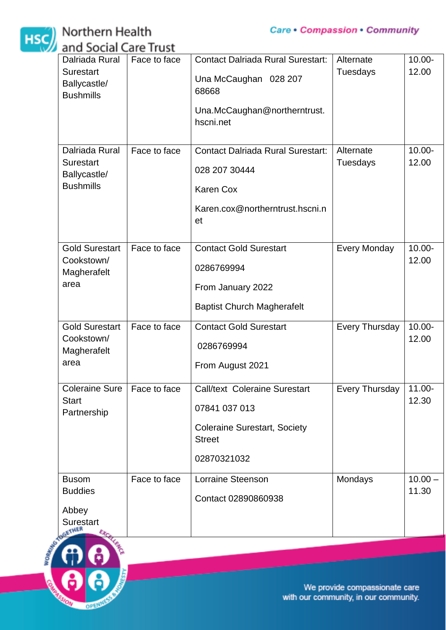

## **HSC** Northern Health<br>and Social Care Trust



We provide compassionate care with our community, in our community.